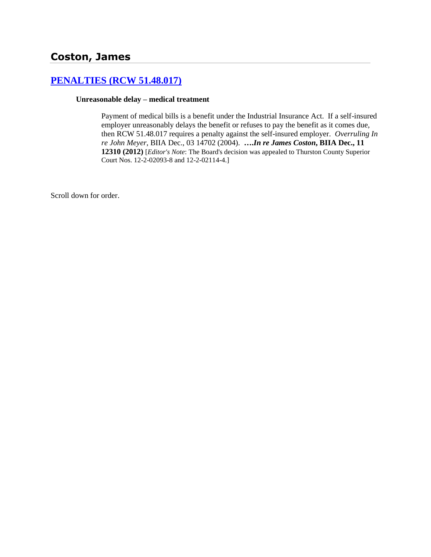# **[PENALTIES \(RCW 51.48.017\)](http://www.biia.wa.gov/SDSubjectIndex.html#PENALTIES)**

### **Unreasonable delay – medical treatment**

Payment of medical bills is a benefit under the Industrial Insurance Act. If a self-insured employer unreasonably delays the benefit or refuses to pay the benefit as it comes due, then RCW 51.48.017 requires a penalty against the self-insured employer. *Overruling In re John Meyer*, BIIA Dec., 03 14702 (2004). **….***In re James Coston***, BIIA Dec., 11 12310 (2012)** [*Editor's Note*: The Board's decision was appealed to Thurston County Superior Court Nos. 12-2-02093-8 and 12-2-02114-4.]

Scroll down for order.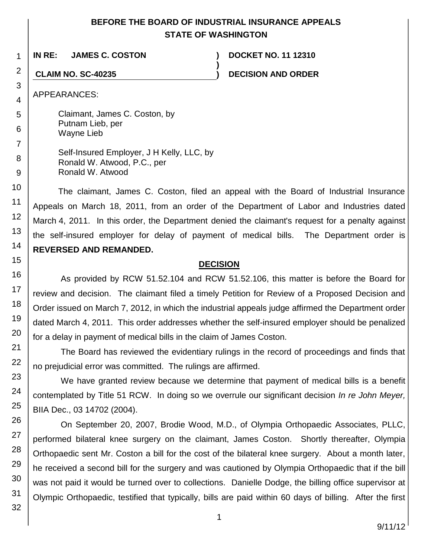# **BEFORE THE BOARD OF INDUSTRIAL INSURANCE APPEALS STATE OF WASHINGTON**

**)**

**IN RE: JAMES C. COSTON ) DOCKET NO. 11 12310**

**CLAIM NO. SC-40235 ) DECISION AND ORDER**

APPEARANCES:

Claimant, James C. Coston, by Putnam Lieb, per Wayne Lieb

Self-Insured Employer, J H Kelly, LLC, by Ronald W. Atwood, P.C., per Ronald W. Atwood

The claimant, James C. Coston, filed an appeal with the Board of Industrial Insurance Appeals on March 18, 2011, from an order of the Department of Labor and Industries dated March 4, 2011. In this order, the Department denied the claimant's request for a penalty against the self-insured employer for delay of payment of medical bills. The Department order is **REVERSED AND REMANDED.**

## **DECISION**

As provided by RCW 51.52.104 and RCW 51.52.106, this matter is before the Board for review and decision. The claimant filed a timely Petition for Review of a Proposed Decision and Order issued on March 7, 2012, in which the industrial appeals judge affirmed the Department order dated March 4, 2011. This order addresses whether the self-insured employer should be penalized for a delay in payment of medical bills in the claim of James Coston.

The Board has reviewed the evidentiary rulings in the record of proceedings and finds that no prejudicial error was committed. The rulings are affirmed.

We have granted review because we determine that payment of medical bills is a benefit contemplated by Title 51 RCW. In doing so we overrule our significant decision *In re John Meyer,* BIIA Dec., 03 14702 (2004).

On September 20, 2007, Brodie Wood, M.D., of Olympia Orthopaedic Associates, PLLC, performed bilateral knee surgery on the claimant, James Coston. Shortly thereafter, Olympia Orthopaedic sent Mr. Coston a bill for the cost of the bilateral knee surgery. About a month later, he received a second bill for the surgery and was cautioned by Olympia Orthopaedic that if the bill was not paid it would be turned over to collections. Danielle Dodge, the billing office supervisor at Olympic Orthopaedic, testified that typically, bills are paid within 60 days of billing. After the first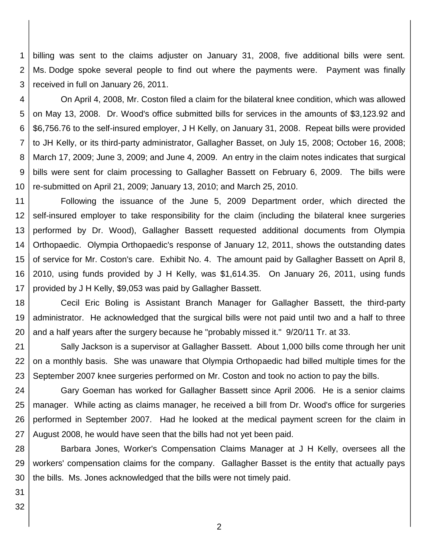1 2 3 billing was sent to the claims adjuster on January 31, 2008, five additional bills were sent. Ms. Dodge spoke several people to find out where the payments were. Payment was finally received in full on January 26, 2011.

4 5 6 7 8 9 10 On April 4, 2008, Mr. Coston filed a claim for the bilateral knee condition, which was allowed on May 13, 2008. Dr. Wood's office submitted bills for services in the amounts of \$3,123.92 and \$6,756.76 to the self-insured employer, J H Kelly, on January 31, 2008. Repeat bills were provided to JH Kelly, or its third-party administrator, Gallagher Basset, on July 15, 2008; October 16, 2008; March 17, 2009; June 3, 2009; and June 4, 2009. An entry in the claim notes indicates that surgical bills were sent for claim processing to Gallagher Bassett on February 6, 2009. The bills were re-submitted on April 21, 2009; January 13, 2010; and March 25, 2010.

11 12 13 14 15 16 17 Following the issuance of the June 5, 2009 Department order, which directed the self-insured employer to take responsibility for the claim (including the bilateral knee surgeries performed by Dr. Wood), Gallagher Bassett requested additional documents from Olympia Orthopaedic. Olympia Orthopaedic's response of January 12, 2011, shows the outstanding dates of service for Mr. Coston's care. Exhibit No. 4. The amount paid by Gallagher Bassett on April 8, 2010, using funds provided by J H Kelly, was \$1,614.35. On January 26, 2011, using funds provided by J H Kelly, \$9,053 was paid by Gallagher Bassett.

18 19 20 Cecil Eric Boling is Assistant Branch Manager for Gallagher Bassett, the third-party administrator. He acknowledged that the surgical bills were not paid until two and a half to three and a half years after the surgery because he "probably missed it." 9/20/11 Tr. at 33.

21 22 23 Sally Jackson is a supervisor at Gallagher Bassett. About 1,000 bills come through her unit on a monthly basis. She was unaware that Olympia Orthopaedic had billed multiple times for the September 2007 knee surgeries performed on Mr. Coston and took no action to pay the bills.

24 25 26 27 Gary Goeman has worked for Gallagher Bassett since April 2006. He is a senior claims manager. While acting as claims manager, he received a bill from Dr. Wood's office for surgeries performed in September 2007. Had he looked at the medical payment screen for the claim in August 2008, he would have seen that the bills had not yet been paid.

28 29 30 Barbara Jones, Worker's Compensation Claims Manager at J H Kelly, oversees all the workers' compensation claims for the company. Gallagher Basset is the entity that actually pays the bills. Ms. Jones acknowledged that the bills were not timely paid.

31 32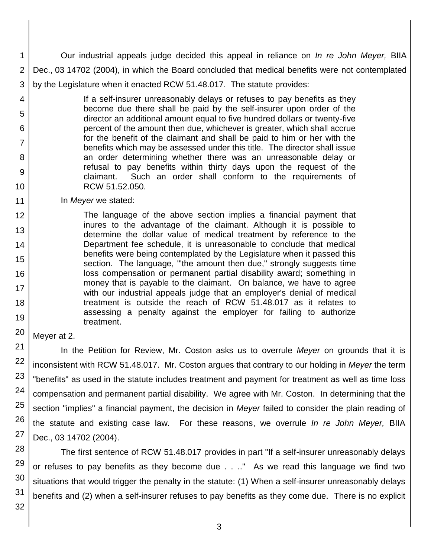1 2 3 Our industrial appeals judge decided this appeal in reliance on *In re John Meyer,* BIIA Dec., 03 14702 (2004), in which the Board concluded that medical benefits were not contemplated by the Legislature when it enacted RCW 51.48.017. The statute provides:

If a self-insurer unreasonably delays or refuses to pay benefits as they become due there shall be paid by the self-insurer upon order of the director an additional amount equal to five hundred dollars or twenty-five percent of the amount then due, whichever is greater, which shall accrue for the benefit of the claimant and shall be paid to him or her with the benefits which may be assessed under this title. The director shall issue an order determining whether there was an unreasonable delay or refusal to pay benefits within thirty days upon the request of the claimant. Such an order shall conform to the requirements of RCW 51.52.050.

In *Meyer* we stated:

The language of the above section implies a financial payment that inures to the advantage of the claimant. Although it is possible to determine the dollar value of medical treatment by reference to the Department fee schedule, it is unreasonable to conclude that medical benefits were being contemplated by the Legislature when it passed this section. The language, '"the amount then due," strongly suggests time loss compensation or permanent partial disability award; something in money that is payable to the claimant. On balance, we have to agree with our industrial appeals judge that an employer's denial of medical treatment is outside the reach of RCW 51.48.017 as it relates to assessing a penalty against the employer for failing to authorize treatment.

Meyer at 2.

4

5

6

7

8

9

10

11 12

13

14

15

16

17

18

19

20

21

22

23

24

25

26

27

In the Petition for Review, Mr. Coston asks us to overrule *Meyer* on grounds that it is inconsistent with RCW 51.48.017. Mr. Coston argues that contrary to our holding in *Meyer* the term "benefits" as used in the statute includes treatment and payment for treatment as well as time loss compensation and permanent partial disability. We agree with Mr. Coston. In determining that the section "implies" a financial payment, the decision in *Meyer* failed to consider the plain reading of the statute and existing case law. For these reasons, we overrule *In re John Meyer,* BIIA Dec., 03 14702 (2004).

28 29 30 31 The first sentence of RCW 51.48.017 provides in part "If a self-insurer unreasonably delays or refuses to pay benefits as they become due . . .." As we read this language we find two situations that would trigger the penalty in the statute: (1) When a self-insurer unreasonably delays benefits and (2) when a self-insurer refuses to pay benefits as they come due. There is no explicit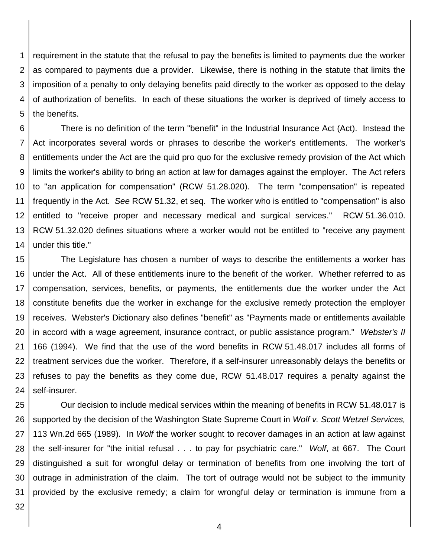1 2 3 4 5 requirement in the statute that the refusal to pay the benefits is limited to payments due the worker as compared to payments due a provider. Likewise, there is nothing in the statute that limits the imposition of a penalty to only delaying benefits paid directly to the worker as opposed to the delay of authorization of benefits. In each of these situations the worker is deprived of timely access to the benefits.

6 7 8 9 10 11 12 13 14 There is no definition of the term "benefit" in the Industrial Insurance Act (Act). Instead the Act incorporates several words or phrases to describe the worker's entitlements. The worker's entitlements under the Act are the quid pro quo for the exclusive remedy provision of the Act which limits the worker's ability to bring an action at law for damages against the employer. The Act refers to "an application for compensation" (RCW 51.28.020). The term "compensation" is repeated frequently in the Act. *See* RCW 51.32, et seq. The worker who is entitled to "compensation" is also entitled to "receive proper and necessary medical and surgical services." RCW 51.36.010. RCW 51.32.020 defines situations where a worker would not be entitled to "receive any payment under this title."

15 16 17 18 19 20 21 22 23 24 The Legislature has chosen a number of ways to describe the entitlements a worker has under the Act. All of these entitlements inure to the benefit of the worker. Whether referred to as compensation, services, benefits, or payments, the entitlements due the worker under the Act constitute benefits due the worker in exchange for the exclusive remedy protection the employer receives. Webster's Dictionary also defines "benefit" as "Payments made or entitlements available in accord with a wage agreement, insurance contract, or public assistance program." *Webster's II* 166 (1994). We find that the use of the word benefits in RCW 51.48.017 includes all forms of treatment services due the worker. Therefore, if a self-insurer unreasonably delays the benefits or refuses to pay the benefits as they come due, RCW 51.48.017 requires a penalty against the self-insurer.

25 26 27 28 29 30 31 Our decision to include medical services within the meaning of benefits in RCW 51.48.017 is supported by the decision of the Washington State Supreme Court in *Wolf v. Scott Wetzel Services,*  113 Wn.2d 665 (1989). In *Wolf* the worker sought to recover damages in an action at law against the self-insurer for "the initial refusal . . . to pay for psychiatric care." *Wolf*, at 667. The Court distinguished a suit for wrongful delay or termination of benefits from one involving the tort of outrage in administration of the claim. The tort of outrage would not be subject to the immunity provided by the exclusive remedy; a claim for wrongful delay or termination is immune from a

32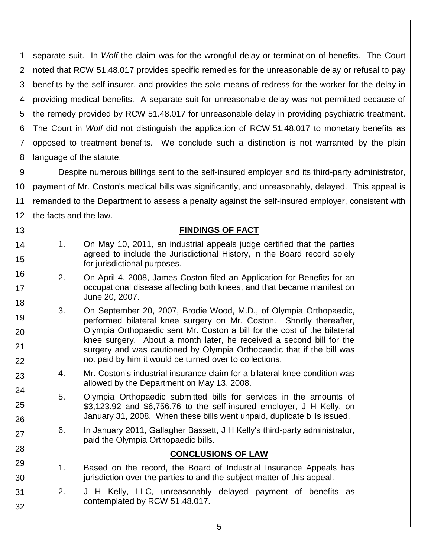1 2 3 4 5 6 7 8 separate suit. In *Wolf* the claim was for the wrongful delay or termination of benefits. The Court noted that RCW 51.48.017 provides specific remedies for the unreasonable delay or refusal to pay benefits by the self-insurer, and provides the sole means of redress for the worker for the delay in providing medical benefits. A separate suit for unreasonable delay was not permitted because of the remedy provided by RCW 51.48.017 for unreasonable delay in providing psychiatric treatment. The Court in *Wolf* did not distinguish the application of RCW 51.48.017 to monetary benefits as opposed to treatment benefits. We conclude such a distinction is not warranted by the plain language of the statute.

9 10 11 12 Despite numerous billings sent to the self-insured employer and its third-party administrator, payment of Mr. Coston's medical bills was significantly, and unreasonably, delayed. This appeal is remanded to the Department to assess a penalty against the self-insured employer, consistent with the facts and the law.

### **FINDINGS OF FACT**

1. On May 10, 2011, an industrial appeals judge certified that the parties agreed to include the Jurisdictional History, in the Board record solely for jurisdictional purposes.

13

14

15

16

17

18

19

20

21 22

23

24

25

26

27

28

29

30

31

32

- 2. On April 4, 2008, James Coston filed an Application for Benefits for an occupational disease affecting both knees, and that became manifest on June 20, 2007.
- 3. On September 20, 2007, Brodie Wood, M.D., of Olympia Orthopaedic, performed bilateral knee surgery on Mr. Coston. Shortly thereafter, Olympia Orthopaedic sent Mr. Coston a bill for the cost of the bilateral knee surgery. About a month later, he received a second bill for the surgery and was cautioned by Olympia Orthopaedic that if the bill was not paid by him it would be turned over to collections.
- 4. Mr. Coston's industrial insurance claim for a bilateral knee condition was allowed by the Department on May 13, 2008.
- 5. Olympia Orthopaedic submitted bills for services in the amounts of \$3,123.92 and \$6,756.76 to the self-insured employer, J H Kelly, on January 31, 2008. When these bills went unpaid, duplicate bills issued.
- 6. In January 2011, Gallagher Bassett, J H Kelly's third-party administrator, paid the Olympia Orthopaedic bills.

### **CONCLUSIONS OF LAW**

- 1. Based on the record, the Board of Industrial Insurance Appeals has jurisdiction over the parties to and the subject matter of this appeal.
- 2. J H Kelly, LLC, unreasonably delayed payment of benefits as contemplated by RCW 51.48.017.
	- 5